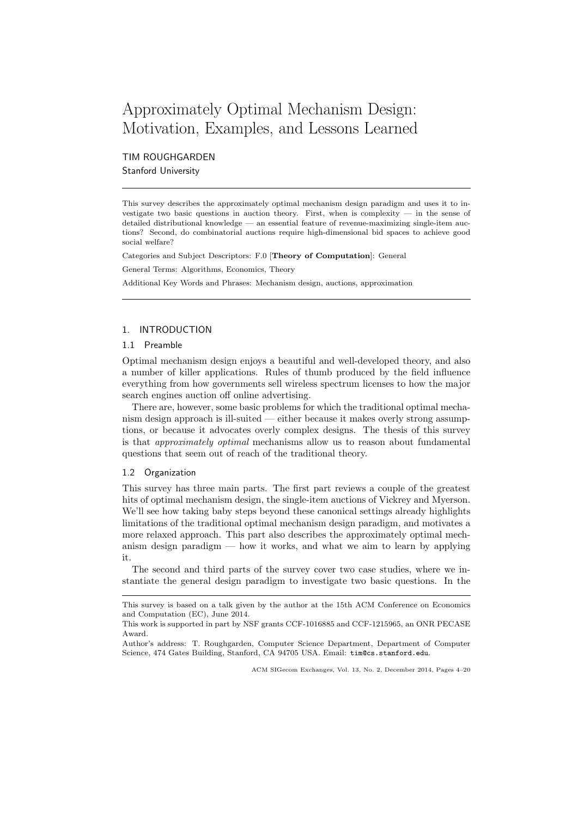# Approximately Optimal Mechanism Design: Motivation, Examples, and Lessons Learned

TIM ROUGHGARDEN Stanford University

This survey describes the approximately optimal mechanism design paradigm and uses it to investigate two basic questions in auction theory. First, when is complexity — in the sense of detailed distributional knowledge — an essential feature of revenue-maximizing single-item auctions? Second, do combinatorial auctions require high-dimensional bid spaces to achieve good social welfare?

Categories and Subject Descriptors: F.0 [Theory of Computation]: General

General Terms: Algorithms, Economics, Theory

Additional Key Words and Phrases: Mechanism design, auctions, approximation

# 1. INTRODUCTION

## 1.1 Preamble

Optimal mechanism design enjoys a beautiful and well-developed theory, and also a number of killer applications. Rules of thumb produced by the field influence everything from how governments sell wireless spectrum licenses to how the major search engines auction off online advertising.

There are, however, some basic problems for which the traditional optimal mechanism design approach is ill-suited — either because it makes overly strong assumptions, or because it advocates overly complex designs. The thesis of this survey is that approximately optimal mechanisms allow us to reason about fundamental questions that seem out of reach of the traditional theory.

## 1.2 Organization

This survey has three main parts. The first part reviews a couple of the greatest hits of optimal mechanism design, the single-item auctions of Vickrey and Myerson. We'll see how taking baby steps beyond these canonical settings already highlights limitations of the traditional optimal mechanism design paradigm, and motivates a more relaxed approach. This part also describes the approximately optimal mechanism design paradigm — how it works, and what we aim to learn by applying it.

The second and third parts of the survey cover two case studies, where we instantiate the general design paradigm to investigate two basic questions. In the

This survey is based on a talk given by the author at the 15th ACM Conference on Economics and Computation (EC), June 2014.

This work is supported in part by NSF grants CCF-1016885 and CCF-1215965, an ONR PECASE Award.

Author's address: T. Roughgarden, Computer Science Department, Department of Computer Science, 474 Gates Building, Stanford, CA 94705 USA. Email: tim@cs.stanford.edu.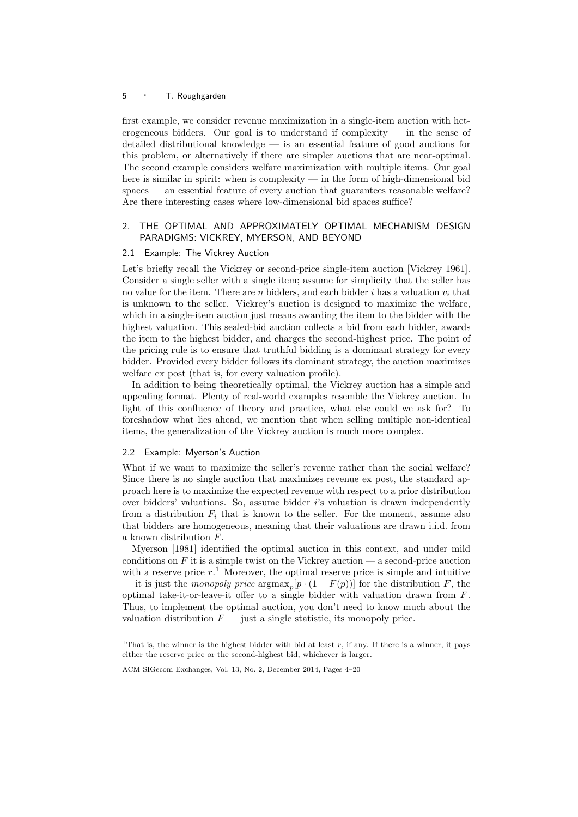first example, we consider revenue maximization in a single-item auction with heterogeneous bidders. Our goal is to understand if complexity  $-$  in the sense of detailed distributional knowledge — is an essential feature of good auctions for this problem, or alternatively if there are simpler auctions that are near-optimal. The second example considers welfare maximization with multiple items. Our goal here is similar in spirit: when is complexity — in the form of high-dimensional bid spaces — an essential feature of every auction that guarantees reasonable welfare? Are there interesting cases where low-dimensional bid spaces suffice?

# 2. THE OPTIMAL AND APPROXIMATELY OPTIMAL MECHANISM DESIGN PARADIGMS: VICKREY, MYERSON, AND BEYOND

#### 2.1 Example: The Vickrey Auction

Let's briefly recall the Vickrey or second-price single-item auction [Vickrey 1961]. Consider a single seller with a single item; assume for simplicity that the seller has no value for the item. There are n bidders, and each bidder i has a valuation  $v_i$  that is unknown to the seller. Vickrey's auction is designed to maximize the welfare, which in a single-item auction just means awarding the item to the bidder with the highest valuation. This sealed-bid auction collects a bid from each bidder, awards the item to the highest bidder, and charges the second-highest price. The point of the pricing rule is to ensure that truthful bidding is a dominant strategy for every bidder. Provided every bidder follows its dominant strategy, the auction maximizes welfare ex post (that is, for every valuation profile).

In addition to being theoretically optimal, the Vickrey auction has a simple and appealing format. Plenty of real-world examples resemble the Vickrey auction. In light of this confluence of theory and practice, what else could we ask for? To foreshadow what lies ahead, we mention that when selling multiple non-identical items, the generalization of the Vickrey auction is much more complex.

#### 2.2 Example: Myerson's Auction

What if we want to maximize the seller's revenue rather than the social welfare? Since there is no single auction that maximizes revenue ex post, the standard approach here is to maximize the expected revenue with respect to a prior distribution over bidders' valuations. So, assume bidder  $i$ 's valuation is drawn independently from a distribution  $F_i$  that is known to the seller. For the moment, assume also that bidders are homogeneous, meaning that their valuations are drawn i.i.d. from a known distribution F.

Myerson [1981] identified the optimal auction in this context, and under mild conditions on  $F$  it is a simple twist on the Vickrey auction — a second-price auction with a reserve price  $r<sup>1</sup>$ . Moreover, the optimal reserve price is simple and intuitive — it is just the monopoly price  $\arg\max_p[p \cdot (1 - F(p))]$  for the distribution F, the optimal take-it-or-leave-it offer to a single bidder with valuation drawn from  $F$ . Thus, to implement the optimal auction, you don't need to know much about the valuation distribution  $F$  — just a single statistic, its monopoly price.

<sup>&</sup>lt;sup>1</sup>That is, the winner is the highest bidder with bid at least  $r$ , if any. If there is a winner, it pays either the reserve price or the second-highest bid, whichever is larger.

ACM SIGecom Exchanges, Vol. 13, No. 2, December 2014, Pages 4–20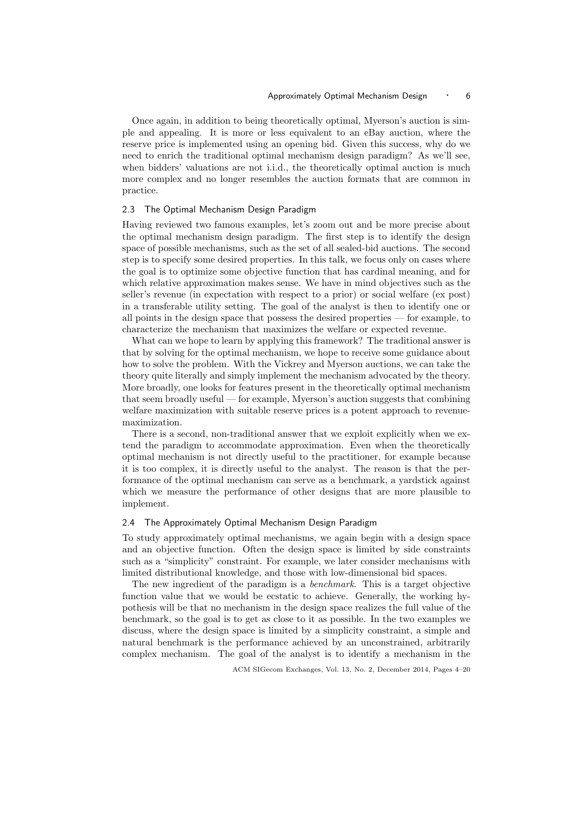Once again, in addition to being theoretically optimal, Myerson's auction is simple and appealing. It is more or less equivalent to an eBay auction, where the reserve price is implemented using an opening bid. Given this success, why do we need to enrich the traditional optimal mechanism design paradigm? As we'll see, when bidders' valuations are not i.i.d., the theoretically optimal auction is much more complex and no longer resembles the auction formats that are common in practice.

# 2.3 The Optimal Mechanism Design Paradigm

Having reviewed two famous examples, let's zoom out and be more precise about the optimal mechanism design paradigm. The first step is to identify the design space of possible mechanisms, such as the set of all sealed-bid auctions. The second step is to specify some desired properties. In this talk, we focus only on cases where the goal is to optimize some objective function that has cardinal meaning, and for which relative approximation makes sense. We have in mind objectives such as the seller's revenue (in expectation with respect to a prior) or social welfare (ex post) in a transferable utility setting. The goal of the analyst is then to identify one or all points in the design space that possess the desired properties — for example, to characterize the mechanism that maximizes the welfare or expected revenue.

What can we hope to learn by applying this framework? The traditional answer is that by solving for the optimal mechanism, we hope to receive some guidance about how to solve the problem. With the Vickrey and Myerson auctions, we can take the theory quite literally and simply implement the mechanism advocated by the theory. More broadly, one looks for features present in the theoretically optimal mechanism that seem broadly useful — for example, Myerson's auction suggests that combining welfare maximization with suitable reserve prices is a potent approach to revenuemaximization.

There is a second, non-traditional answer that we exploit explicitly when we extend the paradigm to accommodate approximation. Even when the theoretically optimal mechanism is not directly useful to the practitioner, for example because it is too complex, it is directly useful to the analyst. The reason is that the performance of the optimal mechanism can serve as a benchmark, a yardstick against which we measure the performance of other designs that are more plausible to implement.

#### 2.4 The Approximately Optimal Mechanism Design Paradigm

To study approximately optimal mechanisms, we again begin with a design space and an objective function. Often the design space is limited by side constraints such as a "simplicity" constraint. For example, we later consider mechanisms with limited distributional knowledge, and those with low-dimensional bid spaces.

The new ingredient of the paradigm is a *benchmark*. This is a target objective function value that we would be ecstatic to achieve. Generally, the working hypothesis will be that no mechanism in the design space realizes the full value of the benchmark, so the goal is to get as close to it as possible. In the two examples we discuss, where the design space is limited by a simplicity constraint, a simple and natural benchmark is the performance achieved by an unconstrained, arbitrarily complex mechanism. The goal of the analyst is to identify a mechanism in the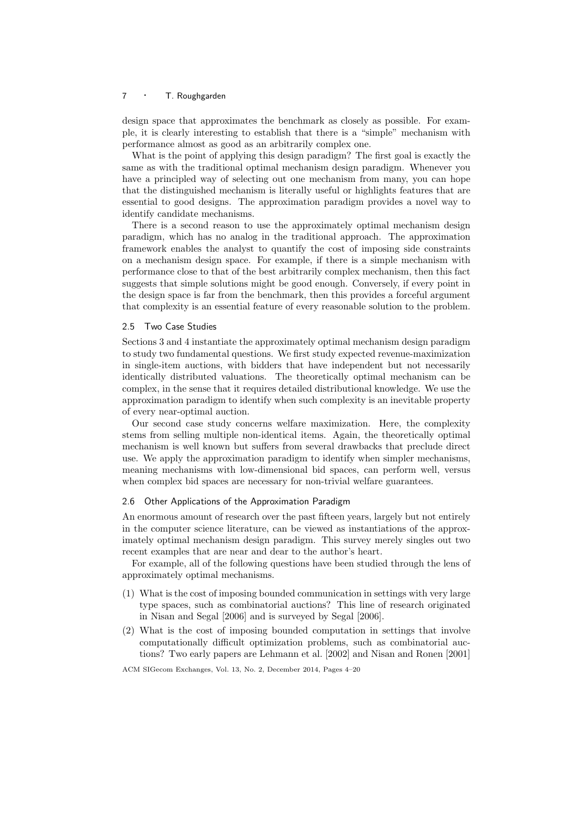design space that approximates the benchmark as closely as possible. For example, it is clearly interesting to establish that there is a "simple" mechanism with performance almost as good as an arbitrarily complex one.

What is the point of applying this design paradigm? The first goal is exactly the same as with the traditional optimal mechanism design paradigm. Whenever you have a principled way of selecting out one mechanism from many, you can hope that the distinguished mechanism is literally useful or highlights features that are essential to good designs. The approximation paradigm provides a novel way to identify candidate mechanisms.

There is a second reason to use the approximately optimal mechanism design paradigm, which has no analog in the traditional approach. The approximation framework enables the analyst to quantify the cost of imposing side constraints on a mechanism design space. For example, if there is a simple mechanism with performance close to that of the best arbitrarily complex mechanism, then this fact suggests that simple solutions might be good enough. Conversely, if every point in the design space is far from the benchmark, then this provides a forceful argument that complexity is an essential feature of every reasonable solution to the problem.

#### 2.5 Two Case Studies

Sections 3 and 4 instantiate the approximately optimal mechanism design paradigm to study two fundamental questions. We first study expected revenue-maximization in single-item auctions, with bidders that have independent but not necessarily identically distributed valuations. The theoretically optimal mechanism can be complex, in the sense that it requires detailed distributional knowledge. We use the approximation paradigm to identify when such complexity is an inevitable property of every near-optimal auction.

Our second case study concerns welfare maximization. Here, the complexity stems from selling multiple non-identical items. Again, the theoretically optimal mechanism is well known but suffers from several drawbacks that preclude direct use. We apply the approximation paradigm to identify when simpler mechanisms, meaning mechanisms with low-dimensional bid spaces, can perform well, versus when complex bid spaces are necessary for non-trivial welfare guarantees.

# 2.6 Other Applications of the Approximation Paradigm

An enormous amount of research over the past fifteen years, largely but not entirely in the computer science literature, can be viewed as instantiations of the approximately optimal mechanism design paradigm. This survey merely singles out two recent examples that are near and dear to the author's heart.

For example, all of the following questions have been studied through the lens of approximately optimal mechanisms.

- (1) What is the cost of imposing bounded communication in settings with very large type spaces, such as combinatorial auctions? This line of research originated in Nisan and Segal [2006] and is surveyed by Segal [2006].
- (2) What is the cost of imposing bounded computation in settings that involve computationally difficult optimization problems, such as combinatorial auctions? Two early papers are Lehmann et al. [2002] and Nisan and Ronen [2001]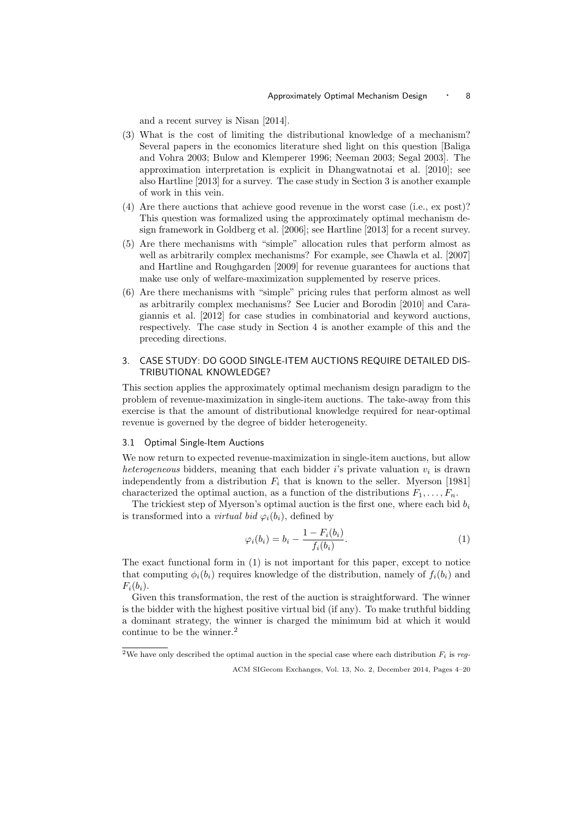and a recent survey is Nisan [2014].

- (3) What is the cost of limiting the distributional knowledge of a mechanism? Several papers in the economics literature shed light on this question [Baliga and Vohra 2003; Bulow and Klemperer 1996; Neeman 2003; Segal 2003]. The approximation interpretation is explicit in Dhangwatnotai et al. [2010]; see also Hartline [2013] for a survey. The case study in Section 3 is another example of work in this vein.
- (4) Are there auctions that achieve good revenue in the worst case (i.e., ex post)? This question was formalized using the approximately optimal mechanism design framework in Goldberg et al. [2006]; see Hartline [2013] for a recent survey.
- (5) Are there mechanisms with "simple" allocation rules that perform almost as well as arbitrarily complex mechanisms? For example, see Chawla et al. [2007] and Hartline and Roughgarden [2009] for revenue guarantees for auctions that make use only of welfare-maximization supplemented by reserve prices.
- (6) Are there mechanisms with "simple" pricing rules that perform almost as well as arbitrarily complex mechanisms? See Lucier and Borodin [2010] and Caragiannis et al. [2012] for case studies in combinatorial and keyword auctions, respectively. The case study in Section 4 is another example of this and the preceding directions.

# 3. CASE STUDY: DO GOOD SINGLE-ITEM AUCTIONS REQUIRE DETAILED DIS-TRIBUTIONAL KNOWLEDGE?

This section applies the approximately optimal mechanism design paradigm to the problem of revenue-maximization in single-item auctions. The take-away from this exercise is that the amount of distributional knowledge required for near-optimal revenue is governed by the degree of bidder heterogeneity.

#### 3.1 Optimal Single-Item Auctions

We now return to expected revenue-maximization in single-item auctions, but allow heterogeneous bidders, meaning that each bidder  $i$ 's private valuation  $v_i$  is drawn independently from a distribution  $F_i$  that is known to the seller. Myerson [1981] characterized the optimal auction, as a function of the distributions  $F_1, \ldots, F_n$ .

The trickiest step of Myerson's optimal auction is the first one, where each bid  $b_i$ is transformed into a *virtual bid*  $\varphi_i(b_i)$ , defined by

$$
\varphi_i(b_i) = b_i - \frac{1 - F_i(b_i)}{f_i(b_i)}.
$$
\n(1)

The exact functional form in (1) is not important for this paper, except to notice that computing  $\phi_i(b_i)$  requires knowledge of the distribution, namely of  $f_i(b_i)$  and  $F_i(b_i)$ .

Given this transformation, the rest of the auction is straightforward. The winner is the bidder with the highest positive virtual bid (if any). To make truthful bidding a dominant strategy, the winner is charged the minimum bid at which it would continue to be the winner. $^{2}$ 

<sup>2</sup>We have only described the optimal auction in the special case where each distribution  $F_i$  is reg-

ACM SIGecom Exchanges, Vol. 13, No. 2, December 2014, Pages 4–20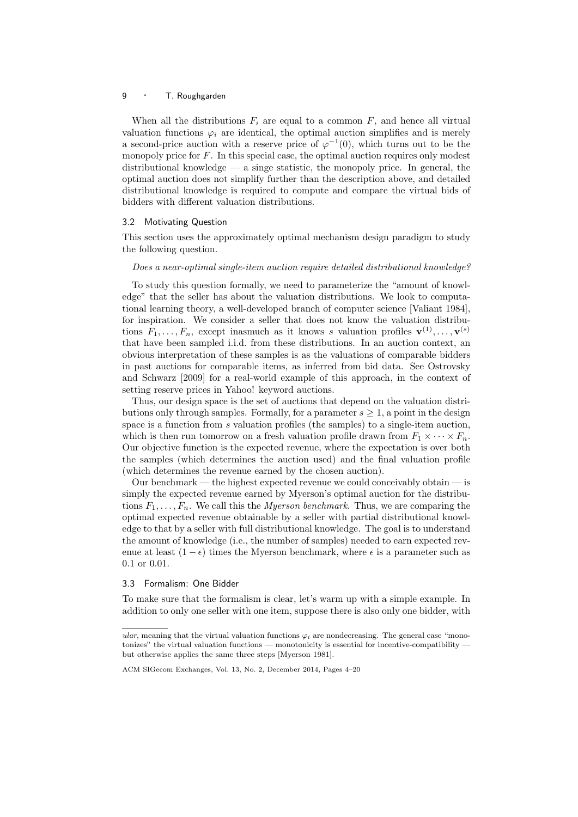When all the distributions  $F_i$  are equal to a common  $F$ , and hence all virtual valuation functions  $\varphi_i$  are identical, the optimal auction simplifies and is merely a second-price auction with a reserve price of  $\varphi^{-1}(0)$ , which turns out to be the monopoly price for  $F$ . In this special case, the optimal auction requires only modest distributional knowledge — a singe statistic, the monopoly price. In general, the optimal auction does not simplify further than the description above, and detailed distributional knowledge is required to compute and compare the virtual bids of bidders with different valuation distributions.

#### 3.2 Motivating Question

This section uses the approximately optimal mechanism design paradigm to study the following question.

#### Does a near-optimal single-item auction require detailed distributional knowledge?

To study this question formally, we need to parameterize the "amount of knowledge" that the seller has about the valuation distributions. We look to computational learning theory, a well-developed branch of computer science [Valiant 1984], for inspiration. We consider a seller that does not know the valuation distributions  $F_1, \ldots, F_n$ , except inasmuch as it knows s valuation profiles  $\mathbf{v}^{(1)}, \ldots, \mathbf{v}^{(s)}$ that have been sampled i.i.d. from these distributions. In an auction context, an obvious interpretation of these samples is as the valuations of comparable bidders in past auctions for comparable items, as inferred from bid data. See Ostrovsky and Schwarz [2009] for a real-world example of this approach, in the context of setting reserve prices in Yahoo! keyword auctions.

Thus, our design space is the set of auctions that depend on the valuation distributions only through samples. Formally, for a parameter  $s \geq 1$ , a point in the design space is a function from s valuation profiles (the samples) to a single-item auction, which is then run tomorrow on a fresh valuation profile drawn from  $F_1 \times \cdots \times F_n$ . Our objective function is the expected revenue, where the expectation is over both the samples (which determines the auction used) and the final valuation profile (which determines the revenue earned by the chosen auction).

Our benchmark — the highest expected revenue we could conceivably obtain — is simply the expected revenue earned by Myerson's optimal auction for the distributions  $F_1, \ldots, F_n$ . We call this the *Myerson benchmark*. Thus, we are comparing the optimal expected revenue obtainable by a seller with partial distributional knowledge to that by a seller with full distributional knowledge. The goal is to understand the amount of knowledge (i.e., the number of samples) needed to earn expected revenue at least  $(1 - \epsilon)$  times the Myerson benchmark, where  $\epsilon$  is a parameter such as 0.1 or 0.01.

#### 3.3 Formalism: One Bidder

To make sure that the formalism is clear, let's warm up with a simple example. In addition to only one seller with one item, suppose there is also only one bidder, with

ular, meaning that the virtual valuation functions  $\varphi_i$  are nondecreasing. The general case "monotonizes" the virtual valuation functions — monotonicity is essential for incentive-compatibility but otherwise applies the same three steps [Myerson 1981].

ACM SIGecom Exchanges, Vol. 13, No. 2, December 2014, Pages 4–20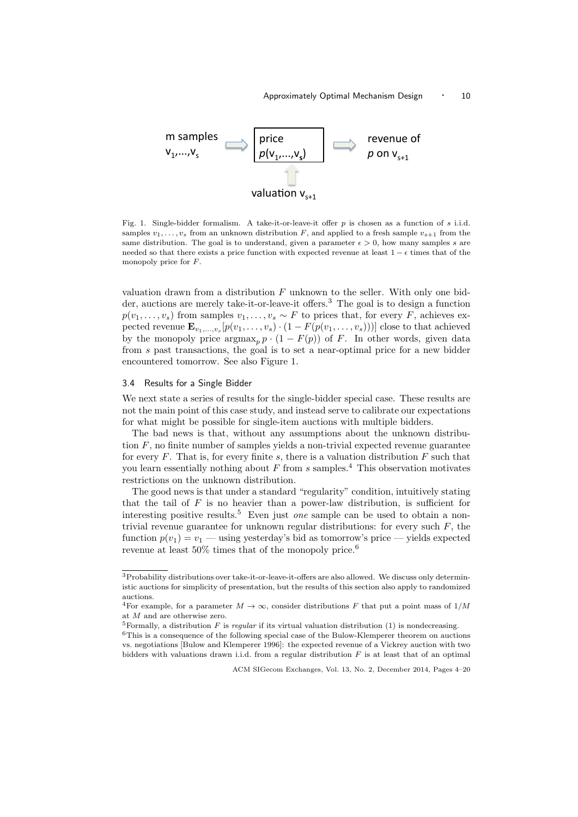

Fig. 1. Single-bidder formalism. A take-it-or-leave-it offer p is chosen as a function of s i.i.d. samples  $v_1, \ldots, v_s$  from an unknown distribution F, and applied to a fresh sample  $v_{s+1}$  from the same distribution. The goal is to understand, given a parameter  $\epsilon > 0$ , how many samples s are needed so that there exists a price function with expected revenue at least  $1 - \epsilon$  times that of the monopoly price for F.

valuation drawn from a distribution  $F$  unknown to the seller. With only one bidder, auctions are merely take-it-or-leave-it offers.<sup>3</sup> The goal is to design a function  $p(v_1, \ldots, v_s)$  from samples  $v_1, \ldots, v_s \sim F$  to prices that, for every F, achieves expected revenue  $\mathbf{E}_{v_1,...,v_s}[p(v_1,...,v_s)\cdot(1-F(p(v_1,...,v_s)))]$  close to that achieved by the monopoly price  $\argmax_{p} p \cdot (1 - F(p))$  of F. In other words, given data from s past transactions, the goal is to set a near-optimal price for a new bidder encountered tomorrow. See also Figure 1.

#### 3.4 Results for a Single Bidder

We next state a series of results for the single-bidder special case. These results are not the main point of this case study, and instead serve to calibrate our expectations for what might be possible for single-item auctions with multiple bidders.

The bad news is that, without any assumptions about the unknown distribution  $F$ , no finite number of samples yields a non-trivial expected revenue guarantee for every  $F$ . That is, for every finite  $s$ , there is a valuation distribution  $F$  such that you learn essentially nothing about  $F$  from  $s$  samples.<sup>4</sup> This observation motivates restrictions on the unknown distribution.

The good news is that under a standard "regularity" condition, intuitively stating that the tail of  $F$  is no heavier than a power-law distribution, is sufficient for interesting positive results.<sup>5</sup> Even just *one* sample can be used to obtain a nontrivial revenue guarantee for unknown regular distributions: for every such  $F$ , the function  $p(v_1) = v_1$  — using yesterday's bid as tomorrow's price — yields expected revenue at least 50% times that of the monopoly price.<sup>6</sup>

<sup>3</sup>Probability distributions over take-it-or-leave-it-offers are also allowed. We discuss only deterministic auctions for simplicity of presentation, but the results of this section also apply to randomized auctions.

<sup>&</sup>lt;sup>4</sup>For example, for a parameter  $M \to \infty$ , consider distributions F that put a point mass of  $1/M$ at M and are otherwise zero.

<sup>&</sup>lt;sup>5</sup>Formally, a distribution F is regular if its virtual valuation distribution (1) is nondecreasing.

<sup>6</sup>This is a consequence of the following special case of the Bulow-Klemperer theorem on auctions vs. negotiations [Bulow and Klemperer 1996]: the expected revenue of a Vickrey auction with two bidders with valuations drawn i.i.d. from a regular distribution  $F$  is at least that of an optimal

ACM SIGecom Exchanges, Vol. 13, No. 2, December 2014, Pages 4–20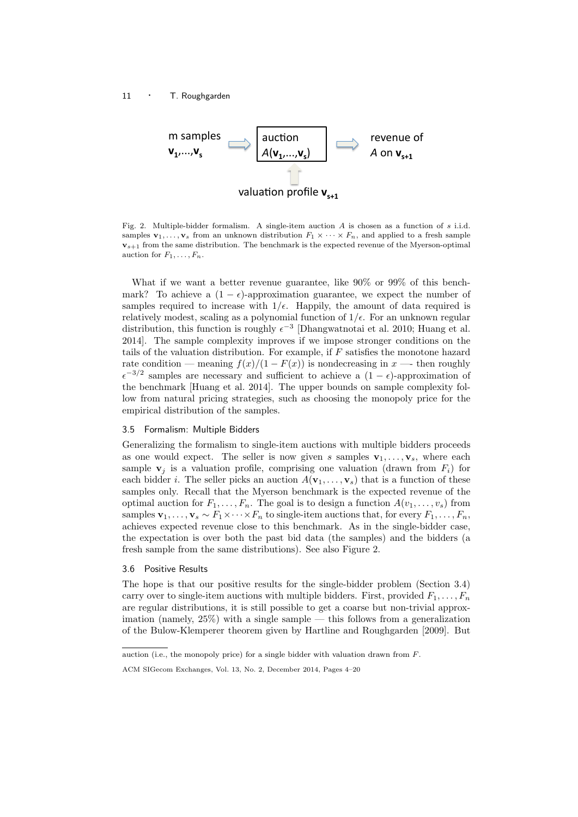

Fig. 2. Multiple-bidder formalism. A single-item auction A is chosen as a function of s i.i.d. samples  $\mathbf{v}_1, \ldots, \mathbf{v}_s$  from an unknown distribution  $F_1 \times \cdots \times F_n$ , and applied to a fresh sample  $\mathbf{v}_{s+1}$  from the same distribution. The benchmark is the expected revenue of the Myerson-optimal auction for  $F_1, \ldots, F_n$ .

What if we want a better revenue guarantee, like 90% or 99% of this benchmark? To achieve a  $(1 - \epsilon)$ -approximation guarantee, we expect the number of samples required to increase with  $1/\epsilon$ . Happily, the amount of data required is relatively modest, scaling as a polynomial function of  $1/\epsilon$ . For an unknown regular distribution, this function is roughly  $\epsilon^{-3}$  [Dhangwatnotai et al. 2010; Huang et al. 2014]. The sample complexity improves if we impose stronger conditions on the tails of the valuation distribution. For example, if F satisfies the monotone hazard rate condition — meaning  $f(x)/(1 - F(x))$  is nondecreasing in x — then roughly  $\epsilon^{-3/2}$  samples are necessary and sufficient to achieve a  $(1 - \epsilon)$ -approximation of the benchmark [Huang et al. 2014]. The upper bounds on sample complexity follow from natural pricing strategies, such as choosing the monopoly price for the empirical distribution of the samples.

#### 3.5 Formalism: Multiple Bidders

Generalizing the formalism to single-item auctions with multiple bidders proceeds as one would expect. The seller is now given s samples  $v_1, \ldots, v_s$ , where each sample  $v_i$  is a valuation profile, comprising one valuation (drawn from  $F_i$ ) for each bidder *i*. The seller picks an auction  $A(\mathbf{v}_1, \ldots, \mathbf{v}_s)$  that is a function of these samples only. Recall that the Myerson benchmark is the expected revenue of the optimal auction for  $F_1, \ldots, F_n$ . The goal is to design a function  $A(v_1, \ldots, v_s)$  from samples  $\mathbf{v}_1, \ldots, \mathbf{v}_s \sim F_1 \times \cdots \times F_n$  to single-item auctions that, for every  $F_1, \ldots, F_n$ , achieves expected revenue close to this benchmark. As in the single-bidder case, the expectation is over both the past bid data (the samples) and the bidders (a fresh sample from the same distributions). See also Figure 2.

#### 3.6 Positive Results

The hope is that our positive results for the single-bidder problem (Section 3.4) carry over to single-item auctions with multiple bidders. First, provided  $F_1, \ldots, F_n$ are regular distributions, it is still possible to get a coarse but non-trivial approximation (namely,  $25\%$ ) with a single sample — this follows from a generalization of the Bulow-Klemperer theorem given by Hartline and Roughgarden [2009]. But

auction (i.e., the monopoly price) for a single bidder with valuation drawn from  $F$ .

ACM SIGecom Exchanges, Vol. 13, No. 2, December 2014, Pages 4–20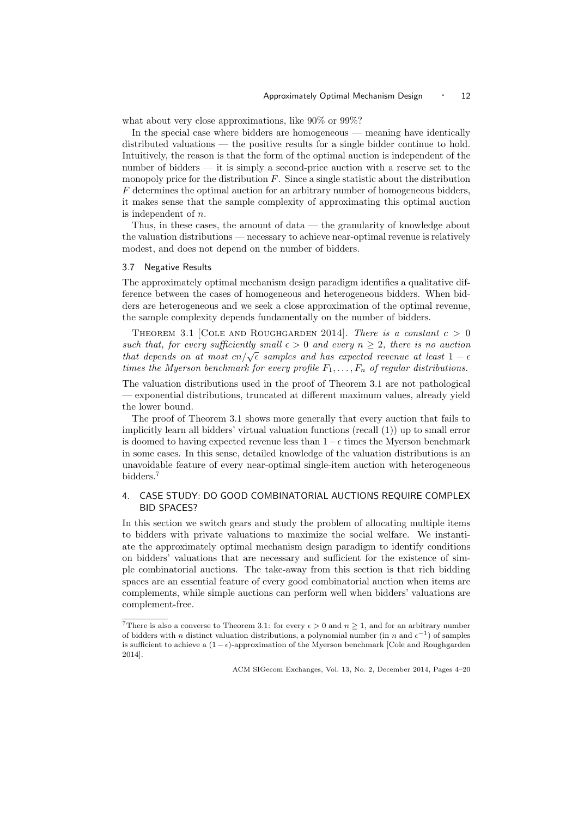what about very close approximations, like 90% or 99%?

In the special case where bidders are homogeneous — meaning have identically distributed valuations — the positive results for a single bidder continue to hold. Intuitively, the reason is that the form of the optimal auction is independent of the number of bidders — it is simply a second-price auction with a reserve set to the monopoly price for the distribution  $F$ . Since a single statistic about the distribution  $F$  determines the optimal auction for an arbitrary number of homogeneous bidders, it makes sense that the sample complexity of approximating this optimal auction is independent of n.

Thus, in these cases, the amount of data — the granularity of knowledge about the valuation distributions — necessary to achieve near-optimal revenue is relatively modest, and does not depend on the number of bidders.

#### 3.7 Negative Results

The approximately optimal mechanism design paradigm identifies a qualitative difference between the cases of homogeneous and heterogeneous bidders. When bidders are heterogeneous and we seek a close approximation of the optimal revenue, the sample complexity depends fundamentally on the number of bidders.

THEOREM 3.1 [COLE AND ROUGHGARDEN 2014]. There is a constant  $c > 0$ such that, for every sufficiently small  $\epsilon > 0$  and every  $n \geq 2$ , there is no auction that depends on at most cn/ $\sqrt{\epsilon}$  samples and has expected revenue at least  $1 - \epsilon$ times the Myerson benchmark for every profile  $F_1, \ldots, F_n$  of regular distributions.

The valuation distributions used in the proof of Theorem 3.1 are not pathological — exponential distributions, truncated at different maximum values, already yield the lower bound.

The proof of Theorem 3.1 shows more generally that every auction that fails to implicitly learn all bidders' virtual valuation functions (recall (1)) up to small error is doomed to having expected revenue less than  $1-\epsilon$  times the Myerson benchmark in some cases. In this sense, detailed knowledge of the valuation distributions is an unavoidable feature of every near-optimal single-item auction with heterogeneous bidders.<sup>7</sup>

# 4. CASE STUDY: DO GOOD COMBINATORIAL AUCTIONS REQUIRE COMPLEX BID SPACES?

In this section we switch gears and study the problem of allocating multiple items to bidders with private valuations to maximize the social welfare. We instantiate the approximately optimal mechanism design paradigm to identify conditions on bidders' valuations that are necessary and sufficient for the existence of simple combinatorial auctions. The take-away from this section is that rich bidding spaces are an essential feature of every good combinatorial auction when items are complements, while simple auctions can perform well when bidders' valuations are complement-free.

<sup>&</sup>lt;sup>7</sup>There is also a converse to Theorem 3.1: for every  $\epsilon > 0$  and  $n \ge 1$ , and for an arbitrary number of bidders with n distinct valuation distributions, a polynomial number (in n and  $\epsilon^{-1}$ ) of samples is sufficient to achieve a  $(1 - \epsilon)$ -approximation of the Myerson benchmark [Cole and Roughgarden] 2014].

ACM SIGecom Exchanges, Vol. 13, No. 2, December 2014, Pages 4–20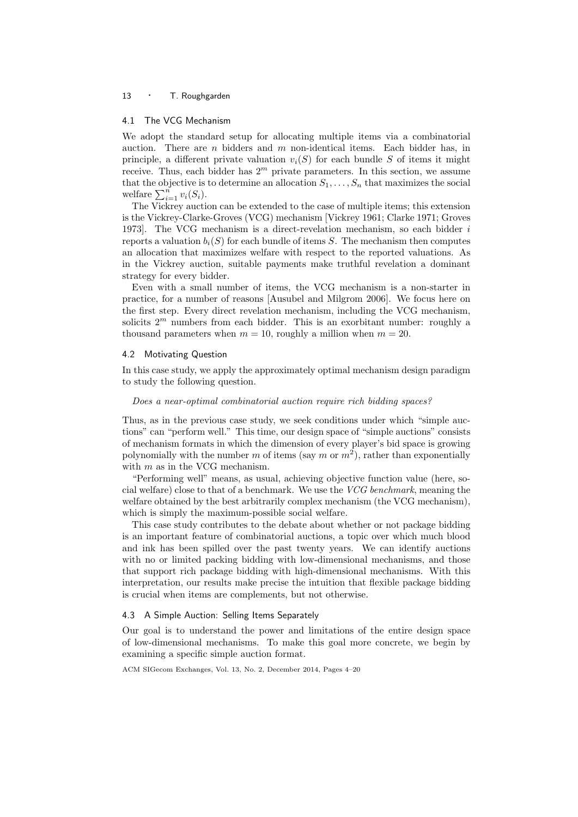# 4.1 The VCG Mechanism

We adopt the standard setup for allocating multiple items via a combinatorial auction. There are  $n$  bidders and  $m$  non-identical items. Each bidder has, in principle, a different private valuation  $v_i(S)$  for each bundle S of items it might receive. Thus, each bidder has  $2<sup>m</sup>$  private parameters. In this section, we assume that the objective is to determine an allocation  $S_1, \ldots, S_n$  that maximizes the social welfare  $\sum_{i=1}^n v_i(S_i)$ .

The Vickrey auction can be extended to the case of multiple items; this extension is the Vickrey-Clarke-Groves (VCG) mechanism [Vickrey 1961; Clarke 1971; Groves 1973]. The VCG mechanism is a direct-revelation mechanism, so each bidder i reports a valuation  $b_i(S)$  for each bundle of items S. The mechanism then computes an allocation that maximizes welfare with respect to the reported valuations. As in the Vickrey auction, suitable payments make truthful revelation a dominant strategy for every bidder.

Even with a small number of items, the VCG mechanism is a non-starter in practice, for a number of reasons [Ausubel and Milgrom 2006]. We focus here on the first step. Every direct revelation mechanism, including the VCG mechanism, solicits  $2^m$  numbers from each bidder. This is an exorbitant number: roughly a thousand parameters when  $m = 10$ , roughly a million when  $m = 20$ .

## 4.2 Motivating Question

In this case study, we apply the approximately optimal mechanism design paradigm to study the following question.

#### Does a near-optimal combinatorial auction require rich bidding spaces?

Thus, as in the previous case study, we seek conditions under which "simple auctions" can "perform well." This time, our design space of "simple auctions" consists of mechanism formats in which the dimension of every player's bid space is growing polynomially with the number m of items (say m or  $m^2$ ), rather than exponentially with  $m$  as in the VCG mechanism.

"Performing well" means, as usual, achieving objective function value (here, social welfare) close to that of a benchmark. We use the  $VCG$  benchmark, meaning the welfare obtained by the best arbitrarily complex mechanism (the VCG mechanism), which is simply the maximum-possible social welfare.

This case study contributes to the debate about whether or not package bidding is an important feature of combinatorial auctions, a topic over which much blood and ink has been spilled over the past twenty years. We can identify auctions with no or limited packing bidding with low-dimensional mechanisms, and those that support rich package bidding with high-dimensional mechanisms. With this interpretation, our results make precise the intuition that flexible package bidding is crucial when items are complements, but not otherwise.

#### 4.3 A Simple Auction: Selling Items Separately

Our goal is to understand the power and limitations of the entire design space of low-dimensional mechanisms. To make this goal more concrete, we begin by examining a specific simple auction format.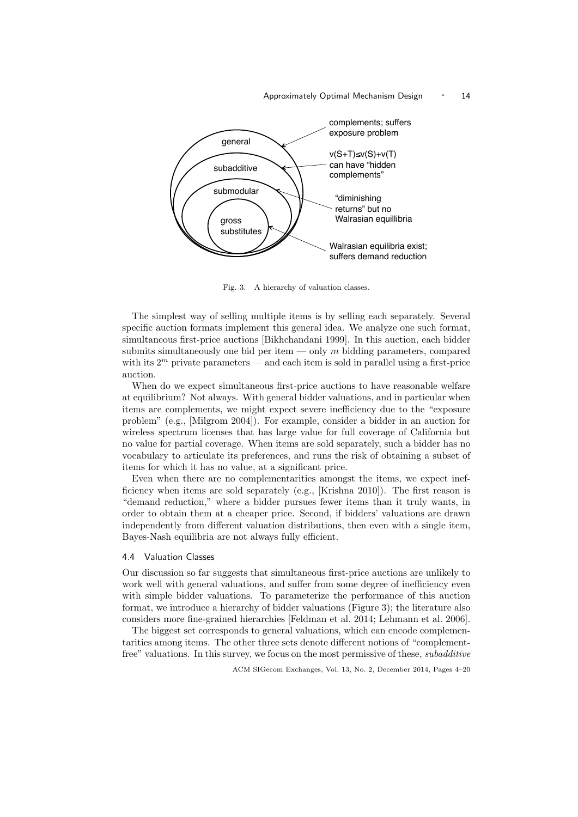

Fig. 3. A hierarchy of valuation classes.

The simplest way of selling multiple items is by selling each separately. Several specific auction formats implement this general idea. We analyze one such format, simultaneous first-price auctions [Bikhchandani 1999]. In this auction, each bidder submits simultaneously one bid per item  $-\text{ only } m$  bidding parameters, compared with its  $2<sup>m</sup>$  private parameters — and each item is sold in parallel using a first-price auction.

When do we expect simultaneous first-price auctions to have reasonable welfare at equilibrium? Not always. With general bidder valuations, and in particular when items are complements, we might expect severe inefficiency due to the "exposure problem" (e.g., [Milgrom 2004]). For example, consider a bidder in an auction for wireless spectrum licenses that has large value for full coverage of California but no value for partial coverage. When items are sold separately, such a bidder has no vocabulary to articulate its preferences, and runs the risk of obtaining a subset of items for which it has no value, at a significant price.

Even when there are no complementarities amongst the items, we expect inefficiency when items are sold separately (e.g., [Krishna 2010]). The first reason is "demand reduction," where a bidder pursues fewer items than it truly wants, in order to obtain them at a cheaper price. Second, if bidders' valuations are drawn independently from different valuation distributions, then even with a single item, Bayes-Nash equilibria are not always fully efficient.

## 4.4 Valuation Classes

Our discussion so far suggests that simultaneous first-price auctions are unlikely to work well with general valuations, and suffer from some degree of inefficiency even with simple bidder valuations. To parameterize the performance of this auction format, we introduce a hierarchy of bidder valuations (Figure 3); the literature also considers more fine-grained hierarchies [Feldman et al. 2014; Lehmann et al. 2006].

The biggest set corresponds to general valuations, which can encode complementarities among items. The other three sets denote different notions of "complementfree" valuations. In this survey, we focus on the most permissive of these, *subadditive*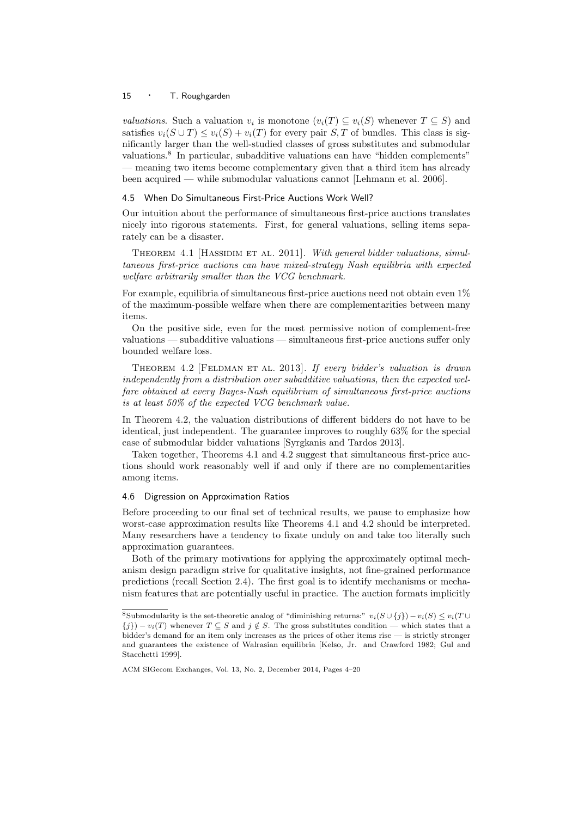*valuations*. Such a valuation  $v_i$  is monotone  $(v_i(T) \subseteq v_i(S)$  whenever  $T \subseteq S)$  and satisfies  $v_i(S \cup T) \leq v_i(S) + v_i(T)$  for every pair S, T of bundles. This class is significantly larger than the well-studied classes of gross substitutes and submodular valuations.<sup>8</sup> In particular, subadditive valuations can have "hidden complements" — meaning two items become complementary given that a third item has already been acquired — while submodular valuations cannot [Lehmann et al. 2006].

#### 4.5 When Do Simultaneous First-Price Auctions Work Well?

Our intuition about the performance of simultaneous first-price auctions translates nicely into rigorous statements. First, for general valuations, selling items separately can be a disaster.

THEOREM 4.1 [HASSIDIM ET AL. 2011]. With general bidder valuations, simultaneous first-price auctions can have mixed-strategy Nash equilibria with expected welfare arbitrarily smaller than the VCG benchmark.

For example, equilibria of simultaneous first-price auctions need not obtain even 1% of the maximum-possible welfare when there are complementarities between many items.

On the positive side, even for the most permissive notion of complement-free valuations — subadditive valuations — simultaneous first-price auctions suffer only bounded welfare loss.

THEOREM 4.2 [FELDMAN ET AL. 2013]. If every bidder's valuation is drawn independently from a distribution over subadditive valuations, then the expected welfare obtained at every Bayes-Nash equilibrium of simultaneous first-price auctions is at least 50% of the expected VCG benchmark value.

In Theorem 4.2, the valuation distributions of different bidders do not have to be identical, just independent. The guarantee improves to roughly 63% for the special case of submodular bidder valuations [Syrgkanis and Tardos 2013].

Taken together, Theorems 4.1 and 4.2 suggest that simultaneous first-price auctions should work reasonably well if and only if there are no complementarities among items.

# 4.6 Digression on Approximation Ratios

Before proceeding to our final set of technical results, we pause to emphasize how worst-case approximation results like Theorems 4.1 and 4.2 should be interpreted. Many researchers have a tendency to fixate unduly on and take too literally such approximation guarantees.

Both of the primary motivations for applying the approximately optimal mechanism design paradigm strive for qualitative insights, not fine-grained performance predictions (recall Section 2.4). The first goal is to identify mechanisms or mechanism features that are potentially useful in practice. The auction formats implicitly

<sup>8</sup>Submodularity is the set-theoretic analog of "diminishing returns:"  $v_i(S \cup \{j\}) - v_i(S) \le v_i(T \cup$  ${j_l}$ ) –  $v_i(T)$  whenever  $T \subseteq S$  and  $j \notin S$ . The gross substitutes condition — which states that a bidder's demand for an item only increases as the prices of other items rise — is strictly stronger and guarantees the existence of Walrasian equilibria [Kelso, Jr. and Crawford 1982; Gul and Stacchetti 1999].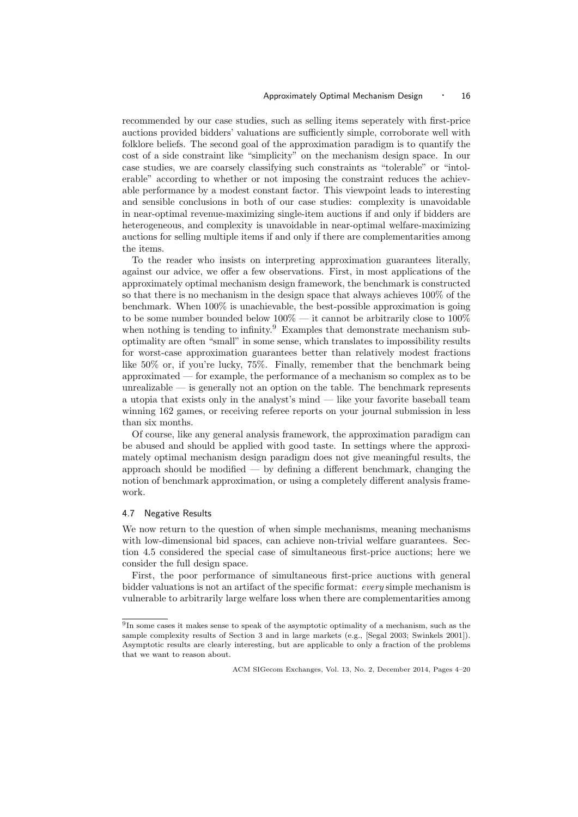recommended by our case studies, such as selling items seperately with first-price auctions provided bidders' valuations are sufficiently simple, corroborate well with folklore beliefs. The second goal of the approximation paradigm is to quantify the cost of a side constraint like "simplicity" on the mechanism design space. In our case studies, we are coarsely classifying such constraints as "tolerable" or "intolerable" according to whether or not imposing the constraint reduces the achievable performance by a modest constant factor. This viewpoint leads to interesting and sensible conclusions in both of our case studies: complexity is unavoidable in near-optimal revenue-maximizing single-item auctions if and only if bidders are heterogeneous, and complexity is unavoidable in near-optimal welfare-maximizing auctions for selling multiple items if and only if there are complementarities among the items.

To the reader who insists on interpreting approximation guarantees literally, against our advice, we offer a few observations. First, in most applications of the approximately optimal mechanism design framework, the benchmark is constructed so that there is no mechanism in the design space that always achieves 100% of the benchmark. When 100% is unachievable, the best-possible approximation is going to be some number bounded below  $100\%$  — it cannot be arbitrarily close to  $100\%$ when nothing is tending to infinity.<sup>9</sup> Examples that demonstrate mechanism suboptimality are often "small" in some sense, which translates to impossibility results for worst-case approximation guarantees better than relatively modest fractions like 50% or, if you're lucky, 75%. Finally, remember that the benchmark being approximated — for example, the performance of a mechanism so complex as to be unrealizable — is generally not an option on the table. The benchmark represents a utopia that exists only in the analyst's mind — like your favorite baseball team winning 162 games, or receiving referee reports on your journal submission in less than six months.

Of course, like any general analysis framework, the approximation paradigm can be abused and should be applied with good taste. In settings where the approximately optimal mechanism design paradigm does not give meaningful results, the approach should be modified — by defining a different benchmark, changing the notion of benchmark approximation, or using a completely different analysis framework.

#### 4.7 Negative Results

We now return to the question of when simple mechanisms, meaning mechanisms with low-dimensional bid spaces, can achieve non-trivial welfare guarantees. Section 4.5 considered the special case of simultaneous first-price auctions; here we consider the full design space.

First, the poor performance of simultaneous first-price auctions with general bidder valuations is not an artifact of the specific format: every simple mechanism is vulnerable to arbitrarily large welfare loss when there are complementarities among

<sup>&</sup>lt;sup>9</sup>In some cases it makes sense to speak of the asymptotic optimality of a mechanism, such as the sample complexity results of Section 3 and in large markets (e.g., [Segal 2003; Swinkels 2001]). Asymptotic results are clearly interesting, but are applicable to only a fraction of the problems that we want to reason about.

ACM SIGecom Exchanges, Vol. 13, No. 2, December 2014, Pages 4–20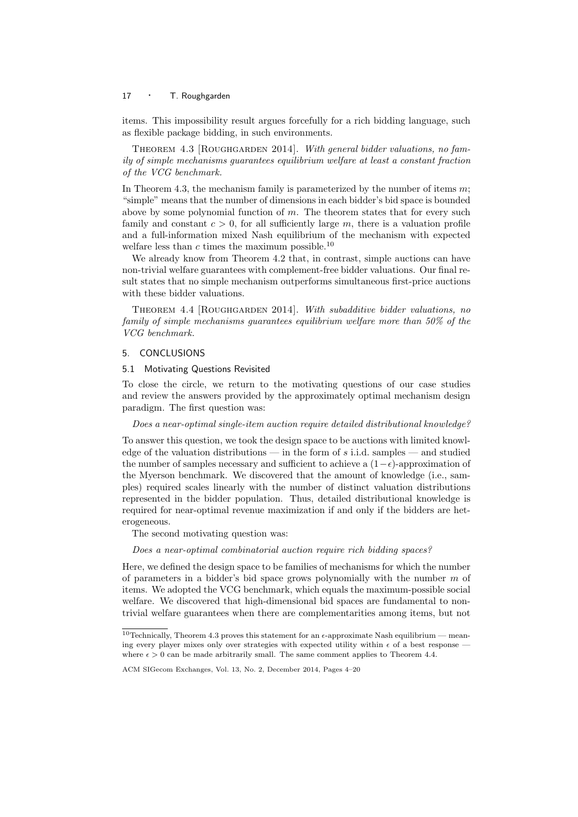items. This impossibility result argues forcefully for a rich bidding language, such as flexible package bidding, in such environments.

THEOREM 4.3 [ROUGHGARDEN 2014]. With general bidder valuations, no family of simple mechanisms guarantees equilibrium welfare at least a constant fraction of the VCG benchmark.

In Theorem 4.3, the mechanism family is parameterized by the number of items  $m$ ; "simple" means that the number of dimensions in each bidder's bid space is bounded above by some polynomial function of  $m$ . The theorem states that for every such family and constant  $c > 0$ , for all sufficiently large m, there is a valuation profile and a full-information mixed Nash equilibrium of the mechanism with expected welfare less than  $c$  times the maximum possible.<sup>10</sup>

We already know from Theorem 4.2 that, in contrast, simple auctions can have non-trivial welfare guarantees with complement-free bidder valuations. Our final result states that no simple mechanism outperforms simultaneous first-price auctions with these bidder valuations.

THEOREM 4.4 [ROUGHGARDEN 2014]. With subadditive bidder valuations, no family of simple mechanisms guarantees equilibrium welfare more than 50% of the VCG benchmark.

#### 5. CONCLUSIONS

#### 5.1 Motivating Questions Revisited

To close the circle, we return to the motivating questions of our case studies and review the answers provided by the approximately optimal mechanism design paradigm. The first question was:

Does a near-optimal single-item auction require detailed distributional knowledge?

To answer this question, we took the design space to be auctions with limited knowledge of the valuation distributions — in the form of s i.i.d. samples — and studied the number of samples necessary and sufficient to achieve a  $(1-\epsilon)$ -approximation of the Myerson benchmark. We discovered that the amount of knowledge (i.e., samples) required scales linearly with the number of distinct valuation distributions represented in the bidder population. Thus, detailed distributional knowledge is required for near-optimal revenue maximization if and only if the bidders are heterogeneous.

The second motivating question was:

Does a near-optimal combinatorial auction require rich bidding spaces?

Here, we defined the design space to be families of mechanisms for which the number of parameters in a bidder's bid space grows polynomially with the number  $m$  of items. We adopted the VCG benchmark, which equals the maximum-possible social welfare. We discovered that high-dimensional bid spaces are fundamental to nontrivial welfare guarantees when there are complementarities among items, but not

<sup>&</sup>lt;sup>10</sup>Technically, Theorem 4.3 proves this statement for an  $\epsilon$ -approximate Nash equilibrium — meaning every player mixes only over strategies with expected utility within  $\epsilon$  of a best response where  $\epsilon > 0$  can be made arbitrarily small. The same comment applies to Theorem 4.4.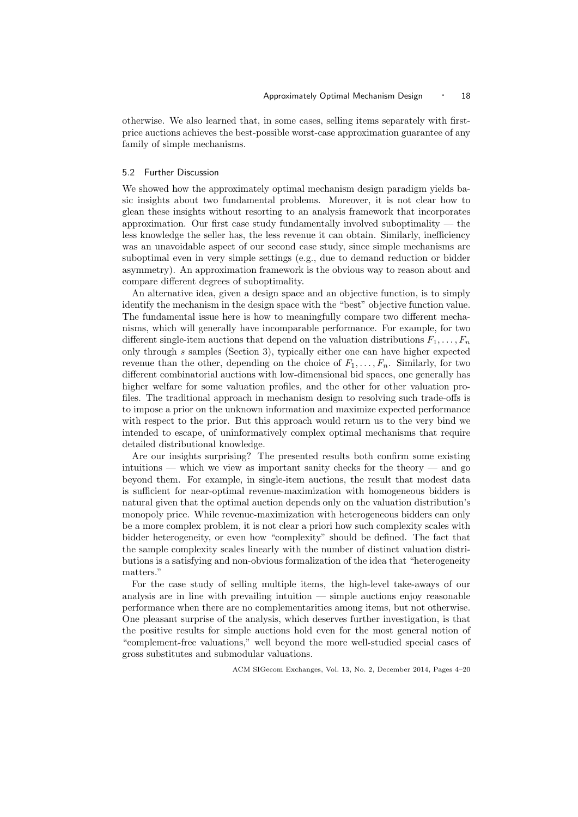otherwise. We also learned that, in some cases, selling items separately with firstprice auctions achieves the best-possible worst-case approximation guarantee of any family of simple mechanisms.

#### 5.2 Further Discussion

We showed how the approximately optimal mechanism design paradigm yields basic insights about two fundamental problems. Moreover, it is not clear how to glean these insights without resorting to an analysis framework that incorporates approximation. Our first case study fundamentally involved suboptimality  $-$  the less knowledge the seller has, the less revenue it can obtain. Similarly, inefficiency was an unavoidable aspect of our second case study, since simple mechanisms are suboptimal even in very simple settings (e.g., due to demand reduction or bidder asymmetry). An approximation framework is the obvious way to reason about and compare different degrees of suboptimality.

An alternative idea, given a design space and an objective function, is to simply identify the mechanism in the design space with the "best" objective function value. The fundamental issue here is how to meaningfully compare two different mechanisms, which will generally have incomparable performance. For example, for two different single-item auctions that depend on the valuation distributions  $F_1, \ldots, F_n$ only through s samples (Section 3), typically either one can have higher expected revenue than the other, depending on the choice of  $F_1, \ldots, F_n$ . Similarly, for two different combinatorial auctions with low-dimensional bid spaces, one generally has higher welfare for some valuation profiles, and the other for other valuation profiles. The traditional approach in mechanism design to resolving such trade-offs is to impose a prior on the unknown information and maximize expected performance with respect to the prior. But this approach would return us to the very bind we intended to escape, of uninformatively complex optimal mechanisms that require detailed distributional knowledge.

Are our insights surprising? The presented results both confirm some existing  $intuitions$  — which we view as important sanity checks for the theory — and go beyond them. For example, in single-item auctions, the result that modest data is sufficient for near-optimal revenue-maximization with homogeneous bidders is natural given that the optimal auction depends only on the valuation distribution's monopoly price. While revenue-maximization with heterogeneous bidders can only be a more complex problem, it is not clear a priori how such complexity scales with bidder heterogeneity, or even how "complexity" should be defined. The fact that the sample complexity scales linearly with the number of distinct valuation distributions is a satisfying and non-obvious formalization of the idea that "heterogeneity matters."

For the case study of selling multiple items, the high-level take-aways of our analysis are in line with prevailing intuition — simple auctions enjoy reasonable performance when there are no complementarities among items, but not otherwise. One pleasant surprise of the analysis, which deserves further investigation, is that the positive results for simple auctions hold even for the most general notion of "complement-free valuations," well beyond the more well-studied special cases of gross substitutes and submodular valuations.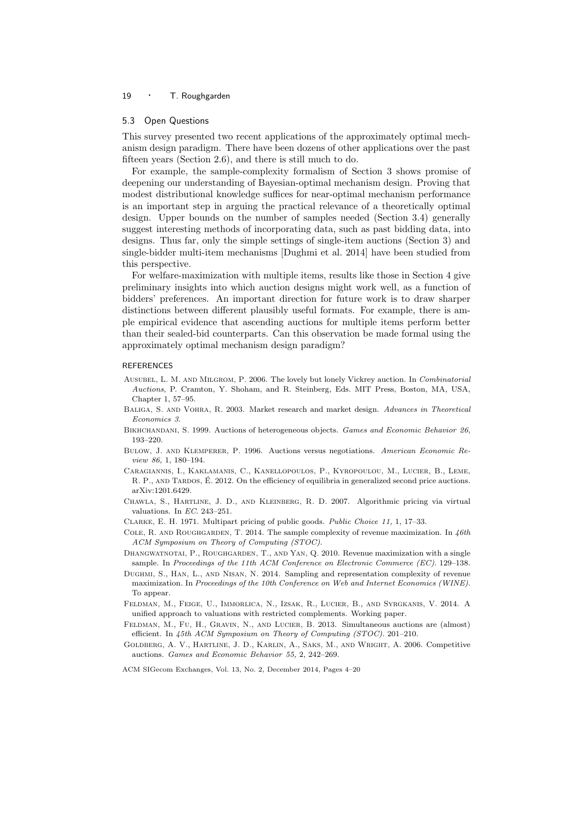#### 5.3 Open Questions

This survey presented two recent applications of the approximately optimal mechanism design paradigm. There have been dozens of other applications over the past fifteen years (Section 2.6), and there is still much to do.

For example, the sample-complexity formalism of Section 3 shows promise of deepening our understanding of Bayesian-optimal mechanism design. Proving that modest distributional knowledge suffices for near-optimal mechanism performance is an important step in arguing the practical relevance of a theoretically optimal design. Upper bounds on the number of samples needed (Section 3.4) generally suggest interesting methods of incorporating data, such as past bidding data, into designs. Thus far, only the simple settings of single-item auctions (Section 3) and single-bidder multi-item mechanisms [Dughmi et al. 2014] have been studied from this perspective.

For welfare-maximization with multiple items, results like those in Section 4 give preliminary insights into which auction designs might work well, as a function of bidders' preferences. An important direction for future work is to draw sharper distinctions between different plausibly useful formats. For example, there is ample empirical evidence that ascending auctions for multiple items perform better than their sealed-bid counterparts. Can this observation be made formal using the approximately optimal mechanism design paradigm?

#### REFERENCES

- Ausubel, L. M. and Milgrom, P. 2006. The lovely but lonely Vickrey auction. In Combinatorial Auctions, P. Cramton, Y. Shoham, and R. Steinberg, Eds. MIT Press, Boston, MA, USA, Chapter 1, 57–95.
- Baliga, S. and Vohra, R. 2003. Market research and market design. Advances in Theoretical Economics 3.
- BIKHCHANDANI, S. 1999. Auctions of heterogeneous objects. Games and Economic Behavior 26, 193–220.
- Bulow, J. and Klemperer, P. 1996. Auctions versus negotiations. American Economic Review 86, 1, 180–194.
- Caragiannis, I., Kaklamanis, C., Kanellopoulos, P., Kyropoulou, M., Lucier, B., Leme, R. P., AND TARDOS, É. 2012. On the efficiency of equilibria in generalized second price auctions. arXiv:1201.6429.
- Chawla, S., Hartline, J. D., and Kleinberg, R. D. 2007. Algorithmic pricing via virtual valuations. In EC. 243–251.
- Clarke, E. H. 1971. Multipart pricing of public goods. Public Choice 11, 1, 17–33.
- COLE, R. AND ROUGHGARDEN, T. 2014. The sample complexity of revenue maximization. In  $\AA$ 6th ACM Symposium on Theory of Computing (STOC).
- DHANGWATNOTAI, P., ROUGHGARDEN, T., AND YAN, Q. 2010. Revenue maximization with a single sample. In Proceedings of the 11th ACM Conference on Electronic Commerce (EC). 129–138.
- Dughmi, S., Han, L., and Nisan, N. 2014. Sampling and representation complexity of revenue maximization. In Proceedings of the 10th Conference on Web and Internet Economics (WINE). To appear.
- Feldman, M., Feige, U., Immorlica, N., Izsak, R., Lucier, B., and Syrgkanis, V. 2014. A unified approach to valuations with restricted complements. Working paper.
- FELDMAN, M., FU, H., GRAVIN, N., AND LUCIER, B. 2013. Simultaneous auctions are (almost) efficient. In 45th ACM Symposium on Theory of Computing (STOC). 201–210.
- Goldberg, A. V., Hartline, J. D., Karlin, A., Saks, M., and Wright, A. 2006. Competitive auctions. Games and Economic Behavior 55, 2, 242–269.